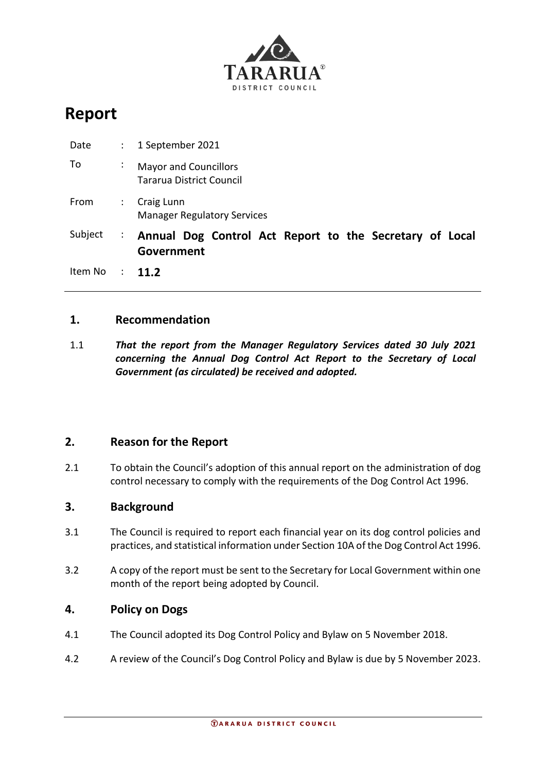

# **Report**

| Date    | $\mathbb{Z}^{\mathbb{Z}}$ | 1 September 2021                                                      |  |  |  |  |  |
|---------|---------------------------|-----------------------------------------------------------------------|--|--|--|--|--|
| To      | ÷                         | <b>Mayor and Councillors</b><br><b>Tararua District Council</b>       |  |  |  |  |  |
| From    | ÷                         | Craig Lunn<br><b>Manager Regulatory Services</b>                      |  |  |  |  |  |
| Subject | $\ddot{\phantom{a}}$      | Annual Dog Control Act Report to the Secretary of Local<br>Government |  |  |  |  |  |
| Item No | $\sim 100$                | $11.2$                                                                |  |  |  |  |  |

# **1. Recommendation**

1.1 *That the report from the Manager Regulatory Services dated 30 July 2021 concerning the Annual Dog Control Act Report to the Secretary of Local Government (as circulated) be received and adopted.*

# **2. Reason for the Report**

2.1 To obtain the Council's adoption of this annual report on the administration of dog control necessary to comply with the requirements of the Dog Control Act 1996.

#### **3. Background**

- 3.1 The Council is required to report each financial year on its dog control policies and practices, and statistical information under Section 10A of the Dog Control Act 1996.
- 3.2 A copy of the report must be sent to the Secretary for Local Government within one month of the report being adopted by Council.

#### **4. Policy on Dogs**

- 4.1 The Council adopted its Dog Control Policy and Bylaw on 5 November 2018.
- 4.2 A review of the Council's Dog Control Policy and Bylaw is due by 5 November 2023.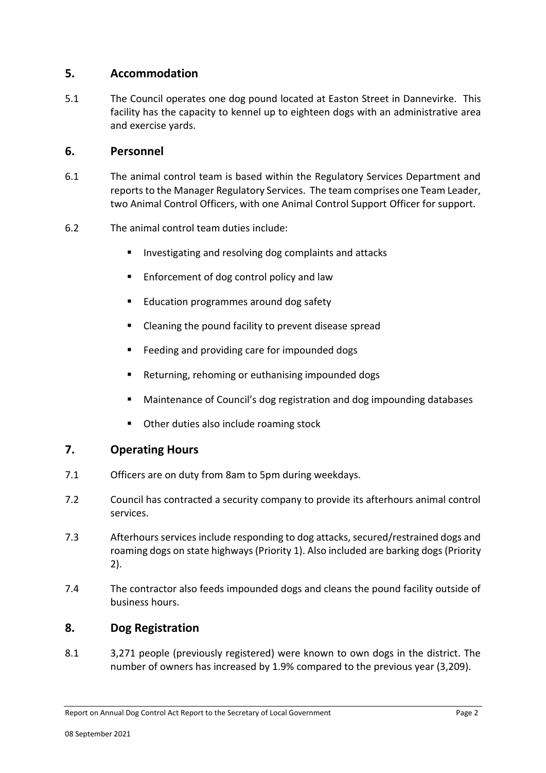# **5. Accommodation**

5.1 The Council operates one dog pound located at Easton Street in Dannevirke. This facility has the capacity to kennel up to eighteen dogs with an administrative area and exercise yards.

#### **6. Personnel**

- 6.1 The animal control team is based within the Regulatory Services Department and reports to the Manager Regulatory Services. The team comprises one Team Leader, two Animal Control Officers, with one Animal Control Support Officer for support.
- 6.2 The animal control team duties include:
	- Investigating and resolving dog complaints and attacks
	- Enforcement of dog control policy and law
	- Education programmes around dog safety
	- Cleaning the pound facility to prevent disease spread
	- Feeding and providing care for impounded dogs
	- Returning, rehoming or euthanising impounded dogs
	- Maintenance of Council's dog registration and dog impounding databases
	- Other duties also include roaming stock

# **7. Operating Hours**

- 7.1 Officers are on duty from 8am to 5pm during weekdays.
- 7.2 Council has contracted a security company to provide its afterhours animal control services.
- 7.3 Afterhours services include responding to dog attacks, secured/restrained dogs and roaming dogs on state highways (Priority 1). Also included are barking dogs (Priority 2).
- 7.4 The contractor also feeds impounded dogs and cleans the pound facility outside of business hours.

# **8. Dog Registration**

8.1 3,271 people (previously registered) were known to own dogs in the district. The number of owners has increased by 1.9% compared to the previous year (3,209).

Report on Annual Dog Control Act Report to the Secretary of Local Government Page 2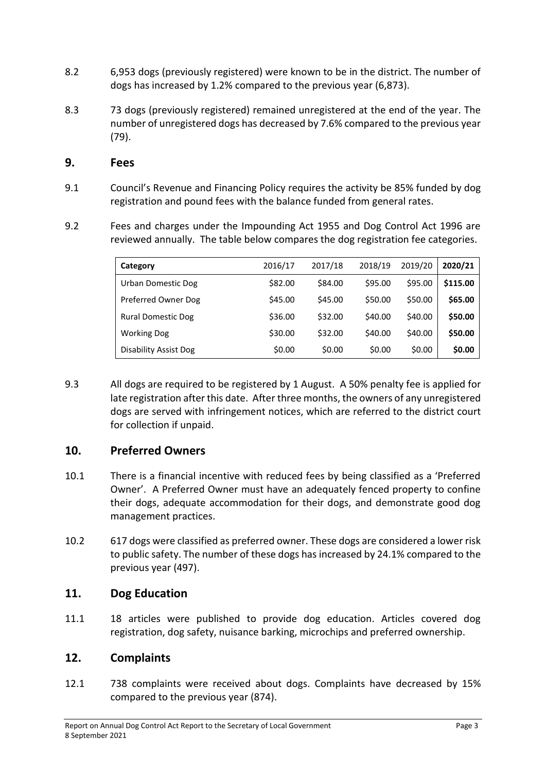- 8.2 6,953 dogs (previously registered) were known to be in the district. The number of dogs has increased by 1.2% compared to the previous year (6,873).
- 8.3 73 dogs (previously registered) remained unregistered at the end of the year. The number of unregistered dogs has decreased by 7.6% compared to the previous year (79).

#### **9. Fees**

- 9.1 Council's Revenue and Financing Policy requires the activity be 85% funded by dog registration and pound fees with the balance funded from general rates.
- 9.2 Fees and charges under the Impounding Act 1955 and Dog Control Act 1996 are reviewed annually. The table below compares the dog registration fee categories.

| Category                  | 2016/17 | 2017/18 | 2018/19 | 2019/20 | 2020/21  |
|---------------------------|---------|---------|---------|---------|----------|
| Urban Domestic Dog        | \$82.00 | \$84.00 | \$95.00 | \$95.00 | \$115.00 |
| Preferred Owner Dog       | \$45.00 | \$45.00 | \$50.00 | \$50.00 | \$65.00  |
| <b>Rural Domestic Dog</b> | \$36.00 | \$32.00 | \$40.00 | \$40.00 | \$50.00  |
| <b>Working Dog</b>        | \$30.00 | \$32.00 | \$40.00 | \$40.00 | \$50.00  |
| Disability Assist Dog     | \$0.00  | \$0.00  | \$0.00  | \$0.00  | \$0.00   |

9.3 All dogs are required to be registered by 1 August. A 50% penalty fee is applied for late registration after this date. After three months, the owners of any unregistered dogs are served with infringement notices, which are referred to the district court for collection if unpaid.

# **10. Preferred Owners**

- 10.1 There is a financial incentive with reduced fees by being classified as a 'Preferred Owner'. A Preferred Owner must have an adequately fenced property to confine their dogs, adequate accommodation for their dogs, and demonstrate good dog management practices.
- 10.2 617 dogs were classified as preferred owner. These dogs are considered a lower risk to public safety. The number of these dogs has increased by 24.1% compared to the previous year (497).

# **11. Dog Education**

11.1 18 articles were published to provide dog education. Articles covered dog registration, dog safety, nuisance barking, microchips and preferred ownership.

# **12. Complaints**

12.1 738 complaints were received about dogs. Complaints have decreased by 15% compared to the previous year (874).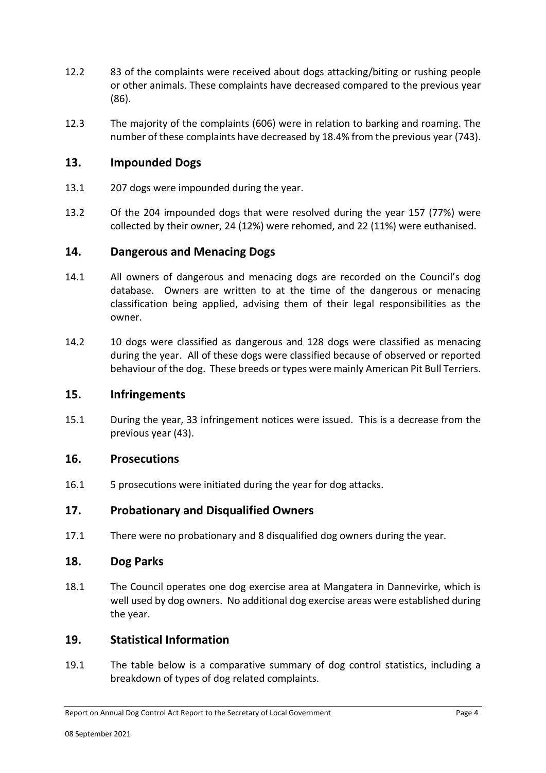- 12.2 83 of the complaints were received about dogs attacking/biting or rushing people or other animals. These complaints have decreased compared to the previous year (86).
- 12.3 The majority of the complaints (606) were in relation to barking and roaming. The number of these complaints have decreased by 18.4% from the previous year (743).

#### **13. Impounded Dogs**

- 13.1 207 dogs were impounded during the year.
- 13.2 Of the 204 impounded dogs that were resolved during the year 157 (77%) were collected by their owner, 24 (12%) were rehomed, and 22 (11%) were euthanised.

#### **14. Dangerous and Menacing Dogs**

- 14.1 All owners of dangerous and menacing dogs are recorded on the Council's dog database. Owners are written to at the time of the dangerous or menacing classification being applied, advising them of their legal responsibilities as the owner.
- 14.2 10 dogs were classified as dangerous and 128 dogs were classified as menacing during the year. All of these dogs were classified because of observed or reported behaviour of the dog. These breeds or types were mainly American Pit Bull Terriers.

#### **15. Infringements**

15.1 During the year, 33 infringement notices were issued. This is a decrease from the previous year (43).

#### **16. Prosecutions**

16.1 5 prosecutions were initiated during the year for dog attacks.

#### **17. Probationary and Disqualified Owners**

17.1 There were no probationary and 8 disqualified dog owners during the year.

#### **18. Dog Parks**

18.1 The Council operates one dog exercise area at Mangatera in Dannevirke, which is well used by dog owners. No additional dog exercise areas were established during the year.

#### **19. Statistical Information**

19.1 The table below is a comparative summary of dog control statistics, including a breakdown of types of dog related complaints.

Report on Annual Dog Control Act Report to the Secretary of Local Government Page 4